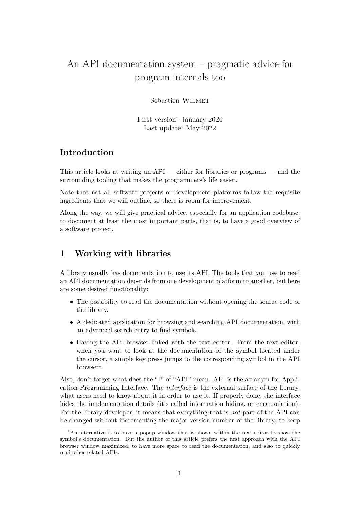# An API documentation system – pragmatic advice for program internals too

#### Sébastien Wilmet

First version: January 2020 Last update: May 2022

#### **Introduction**

This article looks at writing an API — either for libraries or programs — and the surrounding tooling that makes the programmers's life easier.

Note that not all software projects or development platforms follow the requisite ingredients that we will outline, so there is room for improvement.

Along the way, we will give practical advice, especially for an application codebase, to document at least the most important parts, that is, to have a good overview of a software project.

### **1 Working with libraries**

A library usually has documentation to use its API. The tools that you use to read an API documentation depends from one development platform to another, but here are some desired functionality:

- The possibility to read the documentation without opening the source code of the library.
- A dedicated application for browsing and searching API documentation, with an advanced search entry to find symbols.
- Having the API browser linked with the text editor. From the text editor, when you want to look at the documentation of the symbol located under the cursor, a simple key press jumps to the corresponding symbol in the API  $b$ rowser<sup>[1](#page-0-0)</sup>.

Also, don't forget what does the "I" of "API" mean. API is the acronym for Application Programming Interface. The *interface* is the external surface of the library, what users need to know about it in order to use it. If properly done, the interface hides the implementation details (it's called information hiding, or encapsulation). For the library developer, it means that everything that is *not* part of the API can be changed without incrementing the major version number of the library, to keep

<span id="page-0-0"></span><sup>&</sup>lt;sup>1</sup>An alternative is to have a popup window that is shown within the text editor to show the symbol's documentation. But the author of this article prefers the first approach with the API browser window maximized, to have more space to read the documentation, and also to quickly read other related APIs.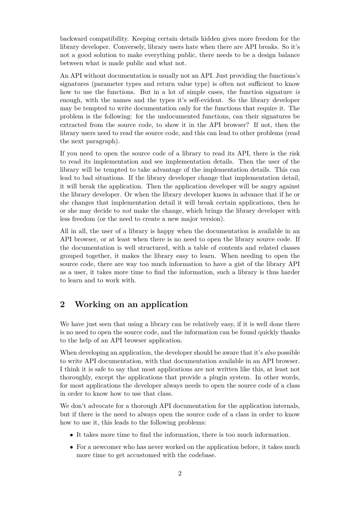backward compatibility. Keeping certain details hidden gives more freedom for the library developer. Conversely, library users hate when there are API breaks. So it's not a good solution to make everything public, there needs to be a design balance between what is made public and what not.

An API without documentation is usually not an API. Just providing the functions's signatures (parameter types and return value type) is often not sufficient to know how to use the functions. But in a lot of simple cases, the function signature *is* enough, with the names and the types it's self-evident. So the library developer may be tempted to write documentation only for the functions that require it. The problem is the following: for the undocumented functions, can their signatures be extracted from the source code, to show it in the API browser? If not, then the library users need to read the source code, and this can lead to other problems (read the next paragraph).

If you need to open the source code of a library to read its API, there is the risk to read its implementation and see implementation details. Then the user of the library will be tempted to take advantage of the implementation details. This can lead to bad situations. If the library developer change that implementation detail, it will break the application. Then the application developer will be angry against the library developer. Or when the library developer knows in advance that if he or she changes that implementation detail it will break certain applications, then he or she may decide to *not* make the change, which brings the library developer with less freedom (or the need to create a new major version).

All in all, the user of a library is happy when the documentation is available in an API browser, or at least when there is no need to open the library source code. If the documentation is well structured, with a table of contents and related classes grouped together, it makes the library easy to learn. When needing to open the source code, there are way too much information to have a gist of the library API as a user, it takes more time to find the information, such a library is thus harder to learn and to work with.

# **2 Working on an application**

We have just seen that using a library can be relatively easy, if it is well done there is no need to open the source code, and the information can be found quickly thanks to the help of an API browser application.

When developing an application, the developer should be aware that it's *also* possible to write API documentation, with that documentation available in an API browser. I think it is safe to say that most applications are not written like this, at least not thoroughly, except the applications that provide a plugin system. In other words, for most applications the developer always needs to open the source code of a class in order to know how to use that class.

We don't advocate for a thorough API documentation for the application internals, but if there is the need to always open the source code of a class in order to know how to use it, this leads to the following problems:

- It takes more time to find the information, there is too much information.
- For a newcomer who has never worked on the application before, it takes much more time to get accustomed with the codebase.